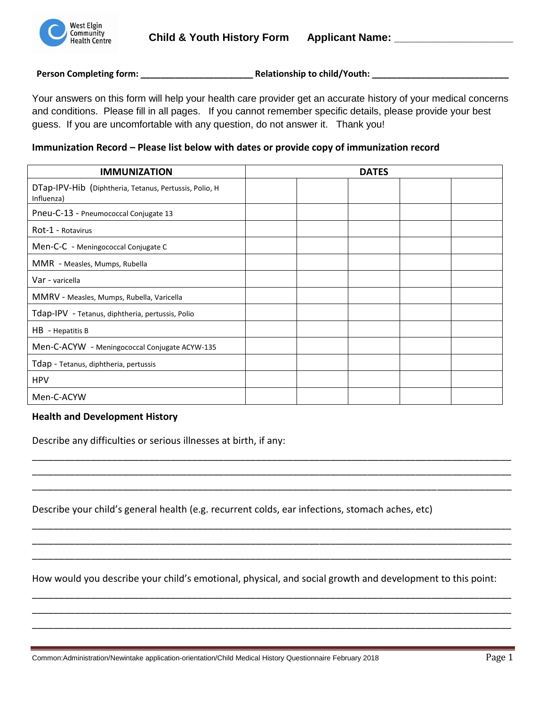

**Person Completing form: \_\_\_\_\_\_\_\_\_\_\_\_\_\_\_\_\_\_\_\_\_\_\_ Relationship to child/Youth: \_\_\_\_\_\_\_\_\_\_\_\_\_\_\_\_\_\_\_\_\_\_\_\_\_\_\_\_**

Your answers on this form will help your health care provider get an accurate history of your medical concerns and conditions. Please fill in all pages. If you cannot remember specific details, please provide your best guess. If you are uncomfortable with any question, do not answer it. Thank you!

# **Immunization Record – Please list below with dates or provide copy of immunization record**

| <b>IMMUNIZATION</b>                                                  |  | <b>DATES</b> |  |
|----------------------------------------------------------------------|--|--------------|--|
| DTap-IPV-Hib (Diphtheria, Tetanus, Pertussis, Polio, H<br>Influenza) |  |              |  |
| Pneu-C-13 - Pneumococcal Conjugate 13                                |  |              |  |
| Rot-1 - Rotavirus                                                    |  |              |  |
| Men-C-C - Meningococcal Conjugate C                                  |  |              |  |
| MMR - Measles, Mumps, Rubella                                        |  |              |  |
| Var - varicella                                                      |  |              |  |
| MMRV - Measles, Mumps, Rubella, Varicella                            |  |              |  |
| Tdap-IPV - Tetanus, diphtheria, pertussis, Polio                     |  |              |  |
| HB - Hepatitis B                                                     |  |              |  |
| Men-C-ACYW - Meningococcal Conjugate ACYW-135                        |  |              |  |
| Tdap - Tetanus, diphtheria, pertussis                                |  |              |  |
| <b>HPV</b>                                                           |  |              |  |
| Men-C-ACYW                                                           |  |              |  |

# **Health and Development History**

Describe any difficulties or serious illnesses at birth, if any:

Describe your child's general health (e.g. recurrent colds, ear infections, stomach aches, etc)

How would you describe your child's emotional, physical, and social growth and development to this point:

\_\_\_\_\_\_\_\_\_\_\_\_\_\_\_\_\_\_\_\_\_\_\_\_\_\_\_\_\_\_\_\_\_\_\_\_\_\_\_\_\_\_\_\_\_\_\_\_\_\_\_\_\_\_\_\_\_\_\_\_\_\_\_\_\_\_\_\_\_\_\_\_\_\_\_\_\_\_\_\_\_\_\_\_\_\_\_\_\_\_ \_\_\_\_\_\_\_\_\_\_\_\_\_\_\_\_\_\_\_\_\_\_\_\_\_\_\_\_\_\_\_\_\_\_\_\_\_\_\_\_\_\_\_\_\_\_\_\_\_\_\_\_\_\_\_\_\_\_\_\_\_\_\_\_\_\_\_\_\_\_\_\_\_\_\_\_\_\_\_\_\_\_\_\_\_\_\_\_\_\_ \_\_\_\_\_\_\_\_\_\_\_\_\_\_\_\_\_\_\_\_\_\_\_\_\_\_\_\_\_\_\_\_\_\_\_\_\_\_\_\_\_\_\_\_\_\_\_\_\_\_\_\_\_\_\_\_\_\_\_\_\_\_\_\_\_\_\_\_\_\_\_\_\_\_\_\_\_\_\_\_\_\_\_\_\_\_\_\_\_\_

\_\_\_\_\_\_\_\_\_\_\_\_\_\_\_\_\_\_\_\_\_\_\_\_\_\_\_\_\_\_\_\_\_\_\_\_\_\_\_\_\_\_\_\_\_\_\_\_\_\_\_\_\_\_\_\_\_\_\_\_\_\_\_\_\_\_\_\_\_\_\_\_\_\_\_\_\_\_\_\_\_\_\_\_\_\_\_\_\_\_ \_\_\_\_\_\_\_\_\_\_\_\_\_\_\_\_\_\_\_\_\_\_\_\_\_\_\_\_\_\_\_\_\_\_\_\_\_\_\_\_\_\_\_\_\_\_\_\_\_\_\_\_\_\_\_\_\_\_\_\_\_\_\_\_\_\_\_\_\_\_\_\_\_\_\_\_\_\_\_\_\_\_\_\_\_\_\_\_\_\_ \_\_\_\_\_\_\_\_\_\_\_\_\_\_\_\_\_\_\_\_\_\_\_\_\_\_\_\_\_\_\_\_\_\_\_\_\_\_\_\_\_\_\_\_\_\_\_\_\_\_\_\_\_\_\_\_\_\_\_\_\_\_\_\_\_\_\_\_\_\_\_\_\_\_\_\_\_\_\_\_\_\_\_\_\_\_\_\_\_\_

\_\_\_\_\_\_\_\_\_\_\_\_\_\_\_\_\_\_\_\_\_\_\_\_\_\_\_\_\_\_\_\_\_\_\_\_\_\_\_\_\_\_\_\_\_\_\_\_\_\_\_\_\_\_\_\_\_\_\_\_\_\_\_\_\_\_\_\_\_\_\_\_\_\_\_\_\_\_\_\_\_\_\_\_\_\_\_\_\_\_ \_\_\_\_\_\_\_\_\_\_\_\_\_\_\_\_\_\_\_\_\_\_\_\_\_\_\_\_\_\_\_\_\_\_\_\_\_\_\_\_\_\_\_\_\_\_\_\_\_\_\_\_\_\_\_\_\_\_\_\_\_\_\_\_\_\_\_\_\_\_\_\_\_\_\_\_\_\_\_\_\_\_\_\_\_\_\_\_\_\_ \_\_\_\_\_\_\_\_\_\_\_\_\_\_\_\_\_\_\_\_\_\_\_\_\_\_\_\_\_\_\_\_\_\_\_\_\_\_\_\_\_\_\_\_\_\_\_\_\_\_\_\_\_\_\_\_\_\_\_\_\_\_\_\_\_\_\_\_\_\_\_\_\_\_\_\_\_\_\_\_\_\_\_\_\_\_\_\_\_\_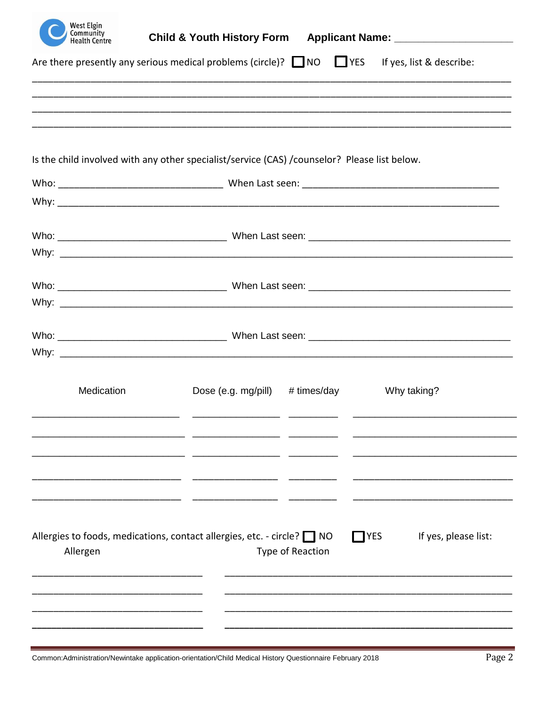| <b>West Elgin</b><br>Community<br><b>Health Centre</b>                       |                                                                                                          |                  |             |                      |
|------------------------------------------------------------------------------|----------------------------------------------------------------------------------------------------------|------------------|-------------|----------------------|
|                                                                              | Are there presently any serious medical problems (circle)? $\Box$ NO $\Box$ YES If yes, list & describe: |                  |             |                      |
|                                                                              |                                                                                                          |                  |             |                      |
|                                                                              |                                                                                                          |                  |             |                      |
|                                                                              |                                                                                                          |                  |             |                      |
|                                                                              | Is the child involved with any other specialist/service (CAS) /counselor? Please list below.             |                  |             |                      |
|                                                                              |                                                                                                          |                  |             |                      |
|                                                                              |                                                                                                          |                  |             |                      |
|                                                                              |                                                                                                          |                  |             |                      |
|                                                                              |                                                                                                          |                  |             |                      |
|                                                                              |                                                                                                          |                  |             |                      |
|                                                                              |                                                                                                          |                  |             |                      |
|                                                                              |                                                                                                          |                  |             |                      |
|                                                                              |                                                                                                          |                  |             |                      |
|                                                                              |                                                                                                          |                  |             |                      |
| Medication                                                                   | Dose (e.g. mg/pill) $# times/day$                                                                        |                  |             | Why taking?          |
|                                                                              |                                                                                                          |                  |             |                      |
|                                                                              |                                                                                                          |                  |             |                      |
|                                                                              |                                                                                                          |                  |             |                      |
|                                                                              |                                                                                                          |                  |             |                      |
|                                                                              |                                                                                                          |                  |             |                      |
| Allergies to foods, medications, contact allergies, etc. - circle? $\Box$ NO |                                                                                                          |                  | <b>TYES</b> | If yes, please list: |
| Allergen                                                                     |                                                                                                          | Type of Reaction |             |                      |
|                                                                              |                                                                                                          |                  |             |                      |
|                                                                              |                                                                                                          |                  |             |                      |
|                                                                              |                                                                                                          |                  |             |                      |

Common:Administration/Newintake application-orientation/Child Medical History Questionnaire February 2018

÷,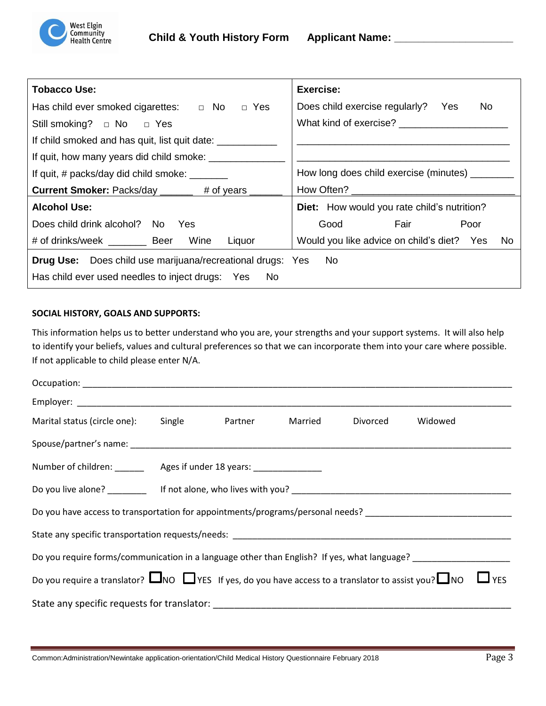

| <b>Tobacco Use:</b>                                                  | Exercise:                                                                                                                                                                                                                      |  |  |  |
|----------------------------------------------------------------------|--------------------------------------------------------------------------------------------------------------------------------------------------------------------------------------------------------------------------------|--|--|--|
| Has child ever smoked cigarettes: $\Box$ No $\Box$ Yes               | Does child exercise regularly? Yes<br>No.                                                                                                                                                                                      |  |  |  |
| Still smoking? $\Box$ No $\Box$ Yes                                  | What kind of exercise?                                                                                                                                                                                                         |  |  |  |
| If child smoked and has quit, list quit date: _________              |                                                                                                                                                                                                                                |  |  |  |
| If quit, how many years did child smoke: _______                     |                                                                                                                                                                                                                                |  |  |  |
| If quit, # packs/day did child smoke: _______                        | How long does child exercise (minutes) _______                                                                                                                                                                                 |  |  |  |
| <b>Current Smoker:</b> Packs/day ________ # of years __              | How Often? The contract of the contract of the contract of the contract of the contract of the contract of the contract of the contract of the contract of the contract of the contract of the contract of the contract of the |  |  |  |
| <b>Alcohol Use:</b>                                                  | <b>Diet:</b> How would you rate child's nutrition?                                                                                                                                                                             |  |  |  |
| Does child drink alcohol? No Yes                                     | Fair<br>Poor<br>Good                                                                                                                                                                                                           |  |  |  |
| # of drinks/week _________ Beer Wine<br>Liquor                       | Would you like advice on child's diet? Yes<br>No.                                                                                                                                                                              |  |  |  |
| <b>Drug Use:</b> Does child use marijuana/recreational drugs: Yes No |                                                                                                                                                                                                                                |  |  |  |
| Has child ever used needles to inject drugs: Yes<br>No.              |                                                                                                                                                                                                                                |  |  |  |

### **SOCIAL HISTORY, GOALS AND SUPPORTS:**

This information helps us to better understand who you are, your strengths and your support systems. It will also help to identify your beliefs, values and cultural preferences so that we can incorporate them into your care where possible. If not applicable to child please enter N/A.

| Marital status (circle one): Single Partner Married Divorced                                                                     |  |  |  |  | Widowed |  |
|----------------------------------------------------------------------------------------------------------------------------------|--|--|--|--|---------|--|
|                                                                                                                                  |  |  |  |  |         |  |
| Number of children: ________________ Ages if under 18 years: ___________________                                                 |  |  |  |  |         |  |
|                                                                                                                                  |  |  |  |  |         |  |
| Do you have access to transportation for appointments/programs/personal needs? _______________________________                   |  |  |  |  |         |  |
|                                                                                                                                  |  |  |  |  |         |  |
| Do you require forms/communication in a language other than English? If yes, what language? __________________                   |  |  |  |  |         |  |
| Do you require a translator? $\Box$ NO $\Box$ YES If yes, do you have access to a translator to assist you? $\Box$ NO $\Box$ YES |  |  |  |  |         |  |
|                                                                                                                                  |  |  |  |  |         |  |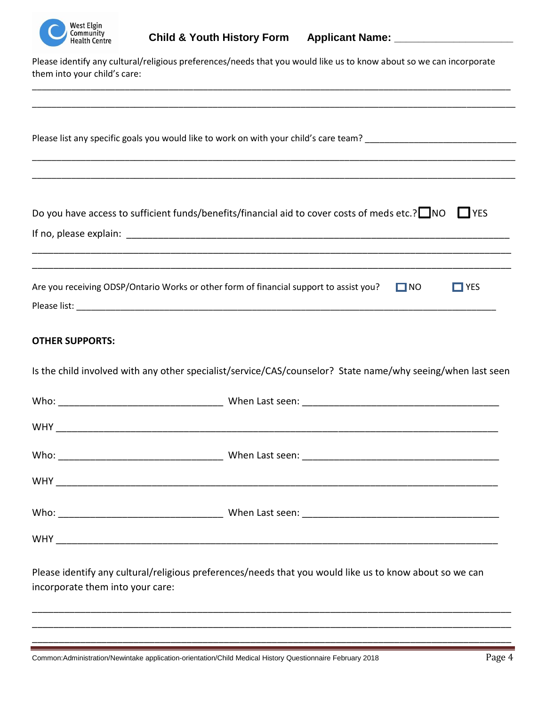

| Community<br><b>Health Centre</b> | Child & Youth History Form Applicant Name: _____________________                                                    |
|-----------------------------------|---------------------------------------------------------------------------------------------------------------------|
| them into your child's care:      | Please identify any cultural/religious preferences/needs that you would like us to know about so we can incorporate |
|                                   | Please list any specific goals you would like to work on with your child's care team?                               |
|                                   | Do you have access to sufficient funds/benefits/financial aid to cover costs of meds etc.? NO $\Box$ YES            |
|                                   |                                                                                                                     |

| Are you receiving ODSP/Ontario Works or other form of financial support to assist you? | $\Box$ NO | $\blacksquare$ YES |
|----------------------------------------------------------------------------------------|-----------|--------------------|
| Please list:                                                                           |           |                    |

## **OTHER SUPPORTS:**

Is the child involved with any other specialist/service/CAS/counselor? State name/why seeing/when last seen

| <b>WHY</b><br><u> 1989 - Johann John Stein, mars an deus Frankryk († 1958)</u> |  |
|--------------------------------------------------------------------------------|--|

Please identify any cultural/religious preferences/needs that you would like us to know about so we can incorporate them into your care:

\_\_\_\_\_\_\_\_\_\_\_\_\_\_\_\_\_\_\_\_\_\_\_\_\_\_\_\_\_\_\_\_\_\_\_\_\_\_\_\_\_\_\_\_\_\_\_\_\_\_\_\_\_\_\_\_\_\_\_\_\_\_\_\_\_\_\_\_\_\_\_\_\_\_\_\_\_\_\_\_\_\_\_\_\_\_\_\_\_\_ \_\_\_\_\_\_\_\_\_\_\_\_\_\_\_\_\_\_\_\_\_\_\_\_\_\_\_\_\_\_\_\_\_\_\_\_\_\_\_\_\_\_\_\_\_\_\_\_\_\_\_\_\_\_\_\_\_\_\_\_\_\_\_\_\_\_\_\_\_\_\_\_\_\_\_\_\_\_\_\_\_\_\_\_\_\_\_\_\_\_ \_\_\_\_\_\_\_\_\_\_\_\_\_\_\_\_\_\_\_\_\_\_\_\_\_\_\_\_\_\_\_\_\_\_\_\_\_\_\_\_\_\_\_\_\_\_\_\_\_\_\_\_\_\_\_\_\_\_\_\_\_\_\_\_\_\_\_\_\_\_\_\_\_\_\_\_\_\_\_\_\_\_\_\_\_\_\_\_\_\_